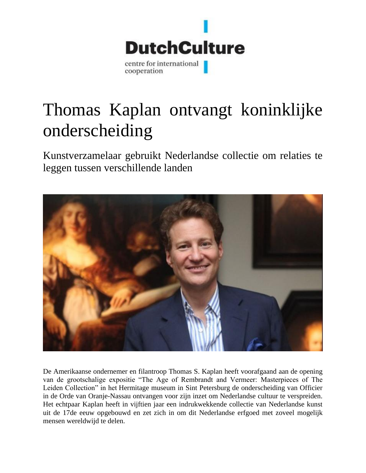

## Thomas Kaplan ontvangt koninklijke onderscheiding

Kunstverzamelaar gebruikt Nederlandse collectie om relaties te leggen tussen verschillende landen



De Amerikaanse ondernemer en filantroop Thomas S. Kaplan heeft voorafgaand aan de opening van de grootschalige expositie "The Age of Rembrandt and Vermeer: Masterpieces of The Leiden Collection" in het Hermitage museum in Sint Petersburg de onderscheiding van Officier in de Orde van Oranje-Nassau ontvangen voor zijn inzet om Nederlandse cultuur te verspreiden. Het echtpaar Kaplan heeft in vijftien jaar een indrukwekkende collectie van Nederlandse kunst uit de 17de eeuw opgebouwd en zet zich in om dit Nederlandse erfgoed met zoveel mogelijk mensen wereldwijd te delen.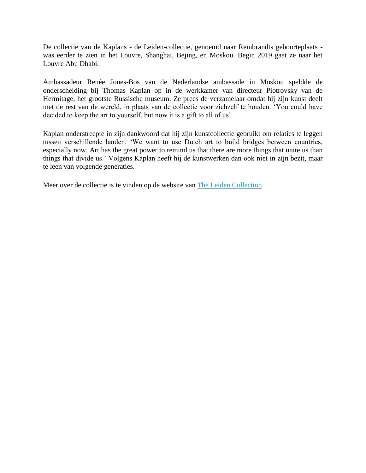De collectie van de Kaplans - de Leiden-collectie, genoemd naar Rembrandts geboorteplaats was eerder te zien in het Louvre, Shanghai, Bejing, en Moskou. Begin 2019 gaat ze naar het Louvre Abu Dhabi.

Ambassadeur Renée Jones-Bos van de Nederlandse ambassade in Moskou speldde de onderscheiding bij Thomas Kaplan op in de werkkamer van directeur Piotrovsky van de Hermitage, het grootste Russische museum. Ze prees de verzamelaar omdat hij zijn kunst deelt met de rest van de wereld, in plaats van de collectie voor zichzelf te houden. 'You could have decided to keep the art to yourself, but now it is a gift to all of us'.

Kaplan onderstreepte in zijn dankwoord dat hij zijn kunstcollectie gebruikt om relaties te leggen tussen verschillende landen. 'We want to use Dutch art to build bridges between countries, especially now. Art has the great power to remind us that there are more things that unite us than things that divide us.' Volgens Kaplan heeft hij de kunstwerken dan ook niet in zijn bezit, maar te leen van volgende generaties.

Meer over de collectie is te vinden op de website van The Leiden [Collection.](https://www.theleidencollection.com/exhibition/the-state-hermitage-museum/)